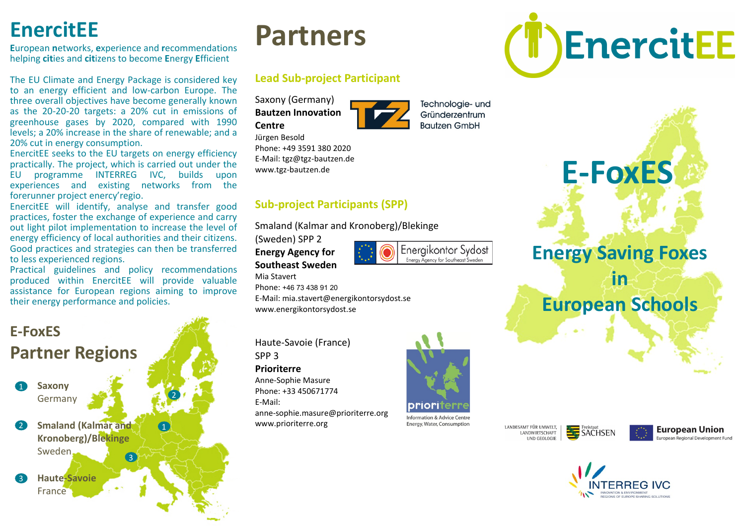# **EnercitEE**

**E**uropean **n**etworks, **e**xperience and **r**ecommendations helping **cit**ies and **cit**izens to become **E**nergy **E**fficient

The EU Climate and Energy Package is considered key to an energy efficient and low-carbon Europe. The three overall objectives have become generally known as the 20-20-20 targets: a 20% cut in emissions of greenhouse gases by 2020, compared with 1990 levels; a 20% increase in the share of renewable; and a 20% cut in energy consumption.

EnercitEE seeks to the EU targets on energy efficiency practically. The project, which is carried out under the EU programme INTERREG IVC, builds upon experiences and existing networks from the forerunner project enercy'regio.

EnercitEE will identify, analyse and transfer good practices, foster the exchange of experience and carry out light pilot implementation to increase the level of energy efficiency of local authorities and their citizens. Good practices and strategies can then be transferred to less experienced regions.

Practical guidelines and policy recommendations produced within EnercitEE will provide valuable assistance for European regions aiming to improve their energy performance and policies.

### 1 3 2 **E-FoxES Partner Regions** 1 **Saxony** Germany **Smaland (Kalmar and Kronoberg)/Blekinge** Sweden 3 **Haute-Savoie** France

# **Partners**

### **Lead Sub-project Participant**

Saxony (Germany) **Bautzen Innovation Centre**

Phone: +49 3591 380 2020 E-Mail: tgz@tgz-bautzen.de www.tgz-bautzen.de

Jürgen Besold



Technologie- und Gründerzentrum **Bautzen GmbH** 

**E-FoxES**

EnercitEE

#### Smaland (Kalmar and Kronoberg)/Blekinge

(Sweden) SPP 2

**Energy Agency for Southeast Sweden** 

Phone: +46 73 438 91 20



**Energy Saving Foxes** 

**in** 

# **European Schools**

Haute-Savoie (France) SPP 3

www.energikontorsydost.se

#### **Prioriterre**

Mia Stavert

Anne-Sophie Masure Phone: +33 450671774 E-Mail: anne-sophie.masure@prioriterre.org www.prioriterre.org



Energy, Water, Consumption LANDESAMT FÜR UMWELT,



**European Union** ronean Regional Development Fund



E-Mail: mia.stavert@energikontorsydost.se

**Sub-project Participants (SPP)**